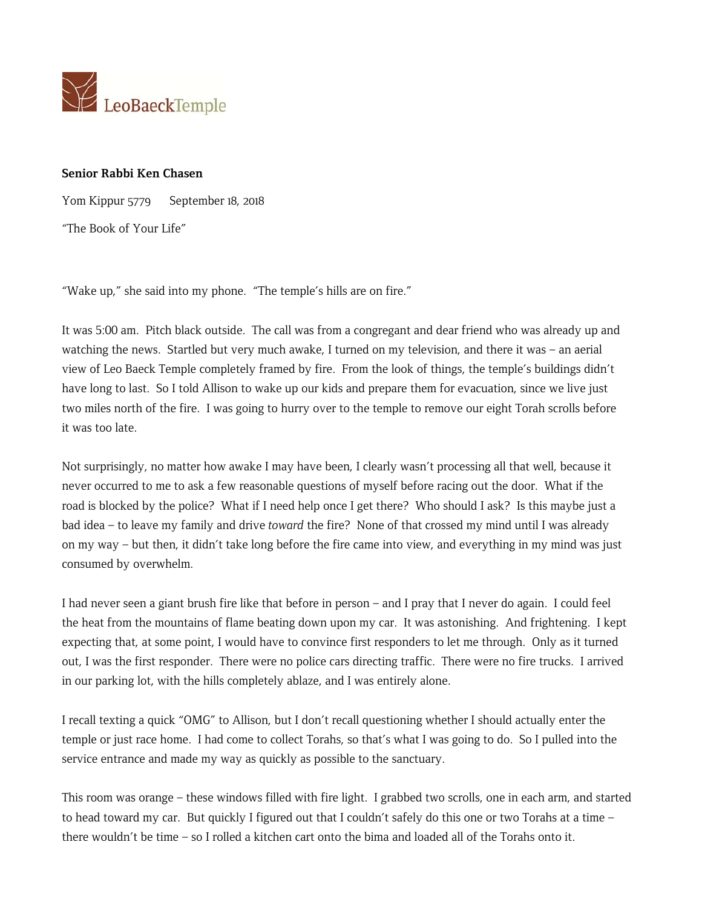

## **Senior Rabbi Ken Chasen**

Yom Kippur 5779 September 18, 2018

"The Book of Your Life"

"Wake up," she said into my phone. "The temple's hills are on fire."

It was 5:00 am. Pitch black outside. The call was from a congregant and dear friend who was already up and watching the news. Startled but very much awake, I turned on my television, and there it was – an aerial view of Leo Baeck Temple completely framed by fire. From the look of things, the temple's buildings didn't have long to last. So I told Allison to wake up our kids and prepare them for evacuation, since we live just two miles north of the fire. I was going to hurry over to the temple to remove our eight Torah scrolls before it was too late.

Not surprisingly, no matter how awake I may have been, I clearly wasn't processing all that well, because it never occurred to me to ask a few reasonable questions of myself before racing out the door. What if the road is blocked by the police? What if I need help once I get there? Who should I ask? Is this maybe just a bad idea – to leave my family and drive *toward* the fire? None of that crossed my mind until I was already on my way – but then, it didn't take long before the fire came into view, and everything in my mind was just consumed by overwhelm.

I had never seen a giant brush fire like that before in person – and I pray that I never do again. I could feel the heat from the mountains of flame beating down upon my car. It was astonishing. And frightening. I kept expecting that, at some point, I would have to convince first responders to let me through. Only as it turned out, I was the first responder. There were no police cars directing traffic. There were no fire trucks. I arrived in our parking lot, with the hills completely ablaze, and I was entirely alone.

I recall texting a quick "OMG" to Allison, but I don't recall questioning whether I should actually enter the temple or just race home. I had come to collect Torahs, so that's what I was going to do. So I pulled into the service entrance and made my way as quickly as possible to the sanctuary.

This room was orange – these windows filled with fire light. I grabbed two scrolls, one in each arm, and started to head toward my car. But quickly I figured out that I couldn't safely do this one or two Torahs at a time – there wouldn't be time – so I rolled a kitchen cart onto the bima and loaded all of the Torahs onto it.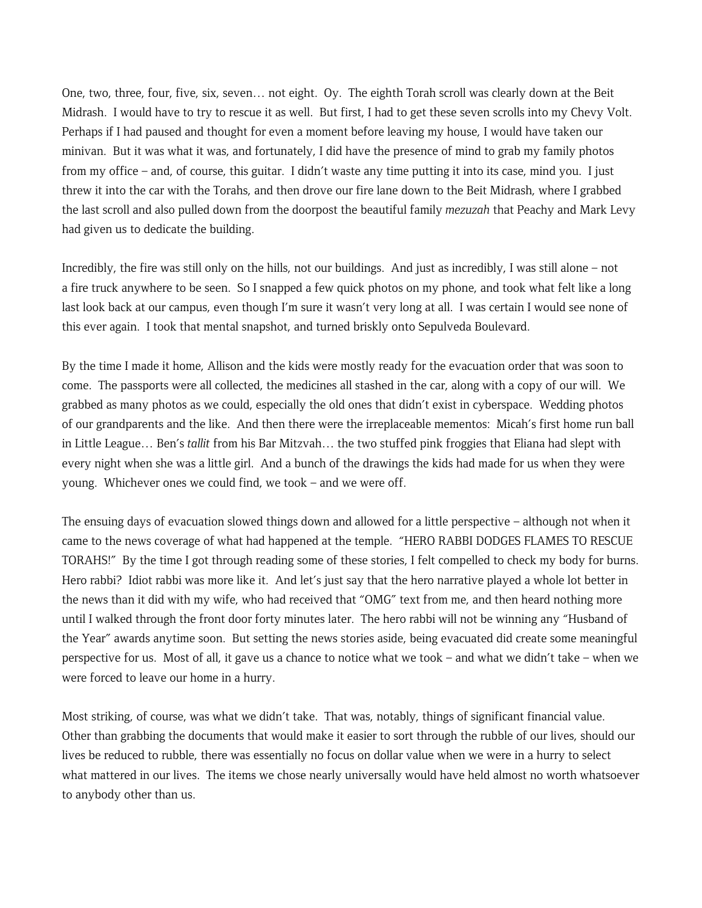One, two, three, four, five, six, seven… not eight. Oy. The eighth Torah scroll was clearly down at the Beit Midrash. I would have to try to rescue it as well. But first, I had to get these seven scrolls into my Chevy Volt. Perhaps if I had paused and thought for even a moment before leaving my house, I would have taken our minivan. But it was what it was, and fortunately, I did have the presence of mind to grab my family photos from my office – and, of course, this guitar. I didn't waste any time putting it into its case, mind you. I just threw it into the car with the Torahs, and then drove our fire lane down to the Beit Midrash, where I grabbed the last scroll and also pulled down from the doorpost the beautiful family *mezuzah* that Peachy and Mark Levy had given us to dedicate the building.

Incredibly, the fire was still only on the hills, not our buildings. And just as incredibly, I was still alone – not a fire truck anywhere to be seen. So I snapped a few quick photos on my phone, and took what felt like a long last look back at our campus, even though I'm sure it wasn't very long at all. I was certain I would see none of this ever again. I took that mental snapshot, and turned briskly onto Sepulveda Boulevard.

By the time I made it home, Allison and the kids were mostly ready for the evacuation order that was soon to come. The passports were all collected, the medicines all stashed in the car, along with a copy of our will. We grabbed as many photos as we could, especially the old ones that didn't exist in cyberspace. Wedding photos of our grandparents and the like. And then there were the irreplaceable mementos: Micah's first home run ball in Little League… Ben's *tallit* from his Bar Mitzvah… the two stuffed pink froggies that Eliana had slept with every night when she was a little girl. And a bunch of the drawings the kids had made for us when they were young. Whichever ones we could find, we took – and we were off.

The ensuing days of evacuation slowed things down and allowed for a little perspective – although not when it came to the news coverage of what had happened at the temple. "HERO RABBI DODGES FLAMES TO RESCUE TORAHS!" By the time I got through reading some of these stories, I felt compelled to check my body for burns. Hero rabbi? Idiot rabbi was more like it. And let's just say that the hero narrative played a whole lot better in the news than it did with my wife, who had received that "OMG" text from me, and then heard nothing more until I walked through the front door forty minutes later. The hero rabbi will not be winning any "Husband of the Year" awards anytime soon. But setting the news stories aside, being evacuated did create some meaningful perspective for us. Most of all, it gave us a chance to notice what we took – and what we didn't take – when we were forced to leave our home in a hurry.

Most striking, of course, was what we didn't take. That was, notably, things of significant financial value. Other than grabbing the documents that would make it easier to sort through the rubble of our lives, should our lives be reduced to rubble, there was essentially no focus on dollar value when we were in a hurry to select what mattered in our lives. The items we chose nearly universally would have held almost no worth whatsoever to anybody other than us.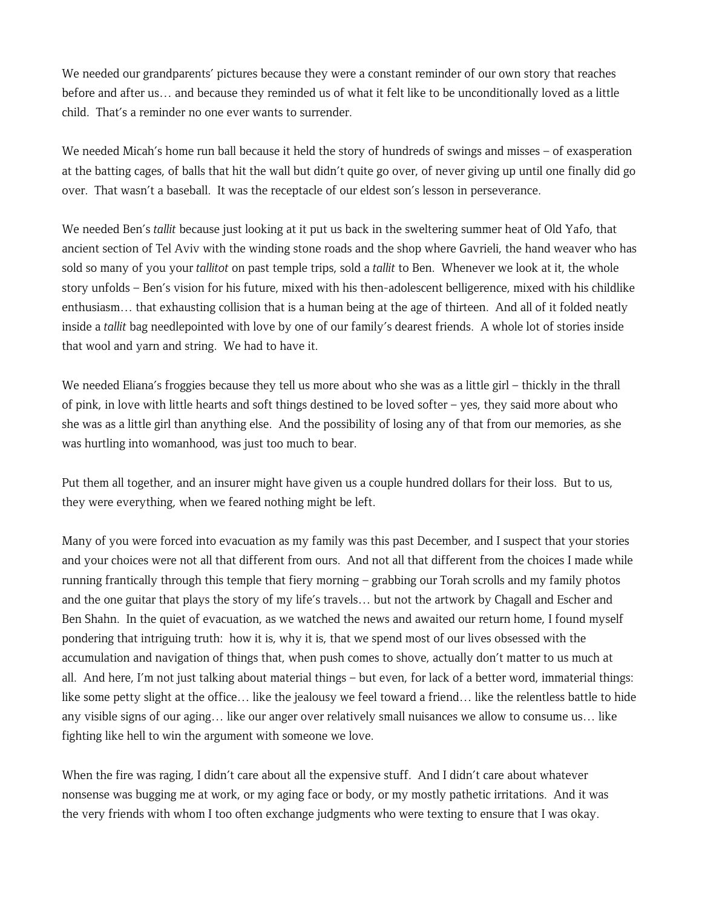We needed our grandparents' pictures because they were a constant reminder of our own story that reaches before and after us… and because they reminded us of what it felt like to be unconditionally loved as a little child. That's a reminder no one ever wants to surrender.

We needed Micah's home run ball because it held the story of hundreds of swings and misses – of exasperation at the batting cages, of balls that hit the wall but didn't quite go over, of never giving up until one finally did go over. That wasn't a baseball. It was the receptacle of our eldest son's lesson in perseverance.

We needed Ben's *tallit* because just looking at it put us back in the sweltering summer heat of Old Yafo, that ancient section of Tel Aviv with the winding stone roads and the shop where Gavrieli, the hand weaver who has sold so many of you your *tallitot* on past temple trips, sold a *tallit* to Ben. Whenever we look at it, the whole story unfolds – Ben's vision for his future, mixed with his then-adolescent belligerence, mixed with his childlike enthusiasm… that exhausting collision that is a human being at the age of thirteen. And all of it folded neatly inside a *tallit* bag needlepointed with love by one of our family's dearest friends. A whole lot of stories inside that wool and yarn and string. We had to have it.

We needed Eliana's froggies because they tell us more about who she was as a little girl – thickly in the thrall of pink, in love with little hearts and soft things destined to be loved softer – yes, they said more about who she was as a little girl than anything else. And the possibility of losing any of that from our memories, as she was hurtling into womanhood, was just too much to bear.

Put them all together, and an insurer might have given us a couple hundred dollars for their loss. But to us, they were everything, when we feared nothing might be left.

Many of you were forced into evacuation as my family was this past December, and I suspect that your stories and your choices were not all that different from ours. And not all that different from the choices I made while running frantically through this temple that fiery morning – grabbing our Torah scrolls and my family photos and the one guitar that plays the story of my life's travels… but not the artwork by Chagall and Escher and Ben Shahn. In the quiet of evacuation, as we watched the news and awaited our return home, I found myself pondering that intriguing truth: how it is, why it is, that we spend most of our lives obsessed with the accumulation and navigation of things that, when push comes to shove, actually don't matter to us much at all. And here, I'm not just talking about material things – but even, for lack of a better word, immaterial things: like some petty slight at the office… like the jealousy we feel toward a friend… like the relentless battle to hide any visible signs of our aging… like our anger over relatively small nuisances we allow to consume us… like fighting like hell to win the argument with someone we love.

When the fire was raging, I didn't care about all the expensive stuff. And I didn't care about whatever nonsense was bugging me at work, or my aging face or body, or my mostly pathetic irritations. And it was the very friends with whom I too often exchange judgments who were texting to ensure that I was okay.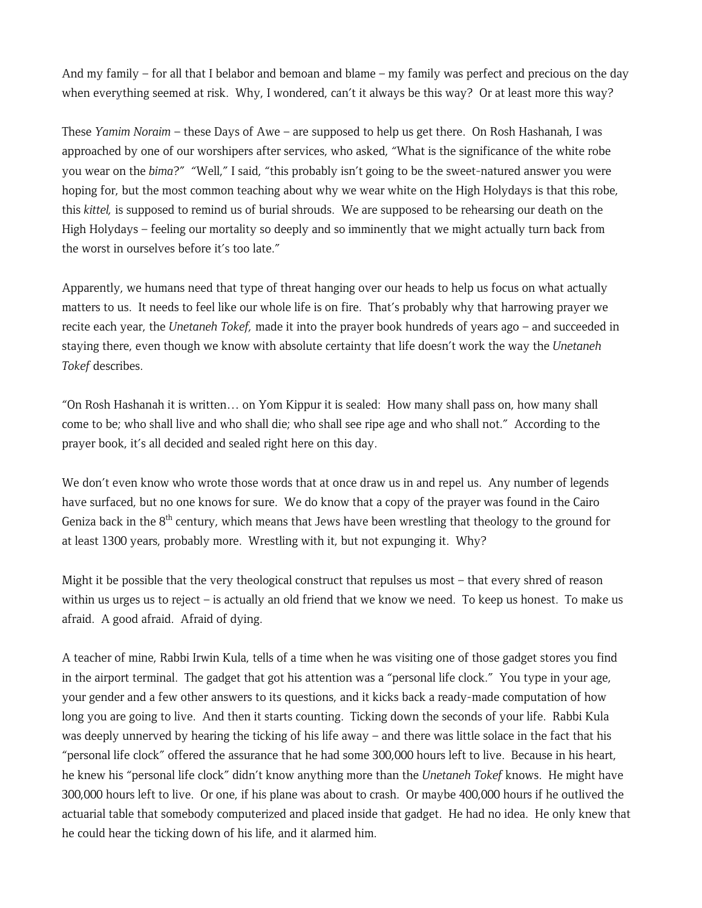And my family – for all that I belabor and bemoan and blame – my family was perfect and precious on the day when everything seemed at risk. Why, I wondered, can't it always be this way? Or at least more this way?

These *Yamim Noraim* – these Days of Awe – are supposed to help us get there. On Rosh Hashanah, I was approached by one of our worshipers after services, who asked, "What is the significance of the white robe you wear on the *bima*?" "Well," I said, "this probably isn't going to be the sweet-natured answer you were hoping for, but the most common teaching about why we wear white on the High Holydays is that this robe, this *kittel,* is supposed to remind us of burial shrouds. We are supposed to be rehearsing our death on the High Holydays – feeling our mortality so deeply and so imminently that we might actually turn back from the worst in ourselves before it's too late."

Apparently, we humans need that type of threat hanging over our heads to help us focus on what actually matters to us. It needs to feel like our whole life is on fire. That's probably why that harrowing prayer we recite each year, the *Unetaneh Tokef,* made it into the prayer book hundreds of years ago – and succeeded in staying there, even though we know with absolute certainty that life doesn't work the way the *Unetaneh Tokef* describes.

"On Rosh Hashanah it is written… on Yom Kippur it is sealed: How many shall pass on, how many shall come to be; who shall live and who shall die; who shall see ripe age and who shall not." According to the prayer book, it's all decided and sealed right here on this day.

We don't even know who wrote those words that at once draw us in and repel us. Any number of legends have surfaced, but no one knows for sure. We do know that a copy of the prayer was found in the Cairo Geniza back in the  $8<sup>th</sup>$  century, which means that Jews have been wrestling that theology to the ground for at least 1300 years, probably more. Wrestling with it, but not expunging it. Why?

Might it be possible that the very theological construct that repulses us most – that every shred of reason within us urges us to reject – is actually an old friend that we know we need. To keep us honest. To make us afraid. A good afraid. Afraid of dying.

A teacher of mine, Rabbi Irwin Kula, tells of a time when he was visiting one of those gadget stores you find in the airport terminal. The gadget that got his attention was a "personal life clock." You type in your age, your gender and a few other answers to its questions, and it kicks back a ready-made computation of how long you are going to live. And then it starts counting. Ticking down the seconds of your life. Rabbi Kula was deeply unnerved by hearing the ticking of his life away – and there was little solace in the fact that his "personal life clock" offered the assurance that he had some 300,000 hours left to live. Because in his heart, he knew his "personal life clock" didn't know anything more than the *Unetaneh Tokef* knows. He might have 300,000 hours left to live. Or one, if his plane was about to crash. Or maybe 400,000 hours if he outlived the actuarial table that somebody computerized and placed inside that gadget. He had no idea. He only knew that he could hear the ticking down of his life, and it alarmed him.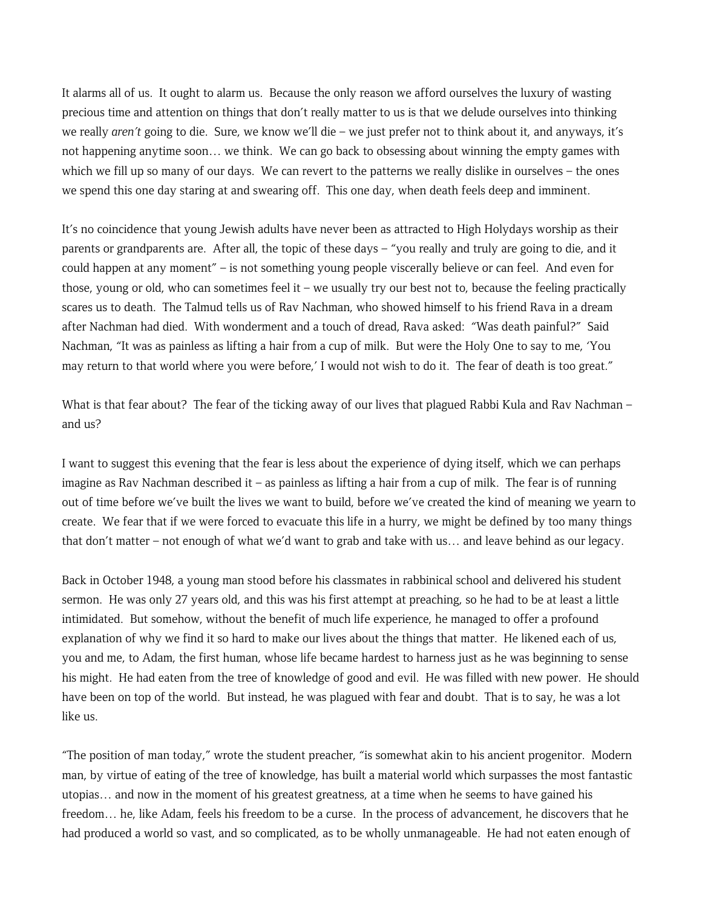It alarms all of us. It ought to alarm us. Because the only reason we afford ourselves the luxury of wasting precious time and attention on things that don't really matter to us is that we delude ourselves into thinking we really *aren't* going to die. Sure, we know we'll die – we just prefer not to think about it, and anyways, it's not happening anytime soon… we think. We can go back to obsessing about winning the empty games with which we fill up so many of our days. We can revert to the patterns we really dislike in ourselves – the ones we spend this one day staring at and swearing off. This one day, when death feels deep and imminent.

It's no coincidence that young Jewish adults have never been as attracted to High Holydays worship as their parents or grandparents are. After all, the topic of these days – "you really and truly are going to die, and it could happen at any moment" – is not something young people viscerally believe or can feel. And even for those, young or old, who can sometimes feel it – we usually try our best not to, because the feeling practically scares us to death. The Talmud tells us of Rav Nachman, who showed himself to his friend Rava in a dream after Nachman had died. With wonderment and a touch of dread, Rava asked: "Was death painful?" Said Nachman, "It was as painless as lifting a hair from a cup of milk. But were the Holy One to say to me, 'You may return to that world where you were before,' I would not wish to do it. The fear of death is too great."

What is that fear about? The fear of the ticking away of our lives that plagued Rabbi Kula and Rav Nachman – and us?

I want to suggest this evening that the fear is less about the experience of dying itself, which we can perhaps imagine as Rav Nachman described it – as painless as lifting a hair from a cup of milk. The fear is of running out of time before we've built the lives we want to build, before we've created the kind of meaning we yearn to create. We fear that if we were forced to evacuate this life in a hurry, we might be defined by too many things that don't matter – not enough of what we'd want to grab and take with us… and leave behind as our legacy.

Back in October 1948, a young man stood before his classmates in rabbinical school and delivered his student sermon. He was only 27 years old, and this was his first attempt at preaching, so he had to be at least a little intimidated. But somehow, without the benefit of much life experience, he managed to offer a profound explanation of why we find it so hard to make our lives about the things that matter. He likened each of us, you and me, to Adam, the first human, whose life became hardest to harness just as he was beginning to sense his might. He had eaten from the tree of knowledge of good and evil. He was filled with new power. He should have been on top of the world. But instead, he was plagued with fear and doubt. That is to say, he was a lot like us.

"The position of man today," wrote the student preacher, "is somewhat akin to his ancient progenitor. Modern man, by virtue of eating of the tree of knowledge, has built a material world which surpasses the most fantastic utopias… and now in the moment of his greatest greatness, at a time when he seems to have gained his freedom… he, like Adam, feels his freedom to be a curse. In the process of advancement, he discovers that he had produced a world so vast, and so complicated, as to be wholly unmanageable. He had not eaten enough of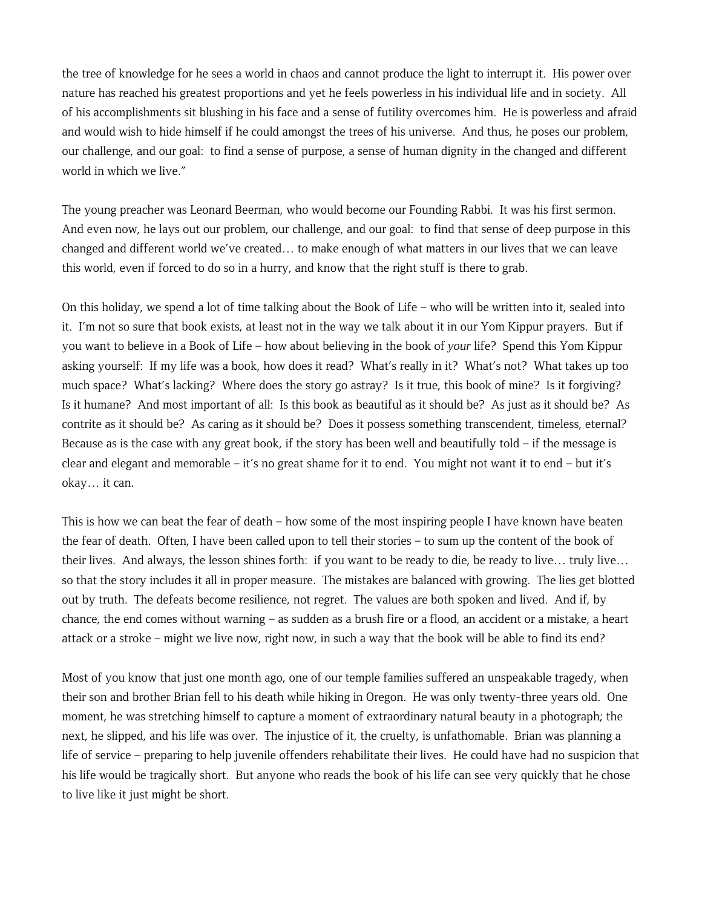the tree of knowledge for he sees a world in chaos and cannot produce the light to interrupt it. His power over nature has reached his greatest proportions and yet he feels powerless in his individual life and in society. All of his accomplishments sit blushing in his face and a sense of futility overcomes him. He is powerless and afraid and would wish to hide himself if he could amongst the trees of his universe. And thus, he poses our problem, our challenge, and our goal: to find a sense of purpose, a sense of human dignity in the changed and different world in which we live."

The young preacher was Leonard Beerman, who would become our Founding Rabbi. It was his first sermon. And even now, he lays out our problem, our challenge, and our goal: to find that sense of deep purpose in this changed and different world we've created… to make enough of what matters in our lives that we can leave this world, even if forced to do so in a hurry, and know that the right stuff is there to grab.

On this holiday, we spend a lot of time talking about the Book of Life – who will be written into it, sealed into it. I'm not so sure that book exists, at least not in the way we talk about it in our Yom Kippur prayers. But if you want to believe in a Book of Life – how about believing in the book of *your* life? Spend this Yom Kippur asking yourself: If my life was a book, how does it read? What's really in it? What's not? What takes up too much space? What's lacking? Where does the story go astray? Is it true, this book of mine? Is it forgiving? Is it humane? And most important of all: Is this book as beautiful as it should be? As just as it should be? As contrite as it should be? As caring as it should be? Does it possess something transcendent, timeless, eternal? Because as is the case with any great book, if the story has been well and beautifully told – if the message is clear and elegant and memorable – it's no great shame for it to end. You might not want it to end – but it's okay… it can.

This is how we can beat the fear of death – how some of the most inspiring people I have known have beaten the fear of death. Often, I have been called upon to tell their stories – to sum up the content of the book of their lives. And always, the lesson shines forth: if you want to be ready to die, be ready to live… truly live… so that the story includes it all in proper measure. The mistakes are balanced with growing. The lies get blotted out by truth. The defeats become resilience, not regret. The values are both spoken and lived. And if, by chance, the end comes without warning – as sudden as a brush fire or a flood, an accident or a mistake, a heart attack or a stroke – might we live now, right now, in such a way that the book will be able to find its end?

Most of you know that just one month ago, one of our temple families suffered an unspeakable tragedy, when their son and brother Brian fell to his death while hiking in Oregon. He was only twenty-three years old. One moment, he was stretching himself to capture a moment of extraordinary natural beauty in a photograph; the next, he slipped, and his life was over. The injustice of it, the cruelty, is unfathomable. Brian was planning a life of service – preparing to help juvenile offenders rehabilitate their lives. He could have had no suspicion that his life would be tragically short. But anyone who reads the book of his life can see very quickly that he chose to live like it just might be short.